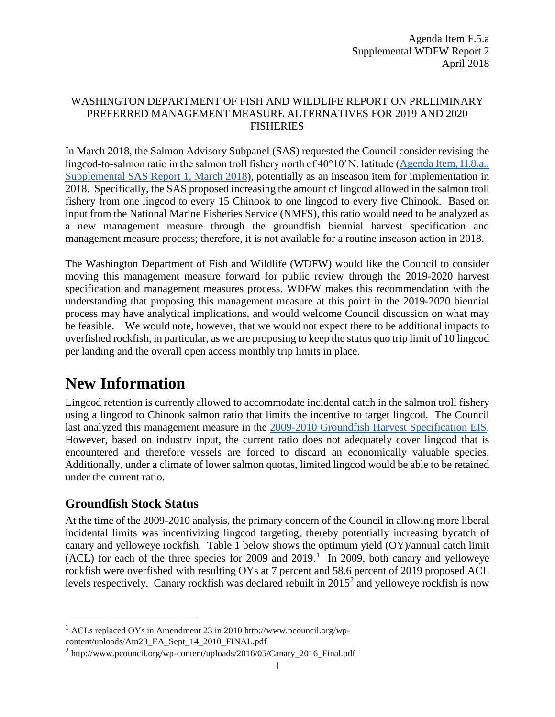#### WASHINGTON DEPARTMENT OF FISH AND WILDLIFE REPORT ON PRELIMINARY PREFERRED MANAGEMENT MEASURE ALTERNATIVES FOR 2019 AND 2020 FISHERIES

In March 2018, the Salmon Advisory Subpanel (SAS) requested the Council consider revising the lingcod-to-salmon ratio in the salmon troll fishery north of 40°10′ N. latitude ([Agenda Item, H.8.a.,](https://www.pcouncil.org/wp-content/uploads/2018/03/H8a_Sup_SAS_Rpt1_Mar2018BB.pdf)  [Supplemental SAS Report 1, March](https://www.pcouncil.org/wp-content/uploads/2018/03/H8a_Sup_SAS_Rpt1_Mar2018BB.pdf) 2018), potentially as an inseason item for implementation in 2018. Specifically, the SAS proposed increasing the amount of lingcod allowed in the salmon troll fishery from one lingcod to every 15 Chinook to one lingcod to every five Chinook. Based on input from the National Marine Fisheries Service (NMFS), this ratio would need to be analyzed as a new management measure through the groundfish biennial harvest specification and management measure process; therefore, it is not available for a routine inseason action in 2018.

The Washington Department of Fish and Wildlife (WDFW) would like the Council to consider moving this management measure forward for public review through the 2019-2020 harvest specification and management measures process. WDFW makes this recommendation with the understanding that proposing this management measure at this point in the 2019-2020 biennial process may have analytical implications, and would welcome Council discussion on what may be feasible. We would note, however, that we would not expect there to be additional impacts to overfished rockfish, in particular, as we are proposing to keep the status quo trip limit of 10 lingcod per landing and the overall open access monthly trip limits in place.

# **New Information**

Lingcod retention is currently allowed to accommodate incidental catch in the salmon troll fishery using a lingcod to Chinook salmon ratio that limits the incentive to target lingcod. The Council last analyzed this management measure in the [2009-2010 Groundfish Harvest Specification EIS.](https://www.pcouncil.org/groundfish/background/document-library/environmental-impact-statements/2009-2010-final-environmental-impact-statement/) However, based on industry input, the current ratio does not adequately cover lingcod that is encountered and therefore vessels are forced to discard an economically valuable species. Additionally, under a climate of lower salmon quotas, limited lingcod would be able to be retained under the current ratio.

### **Groundfish Stock Status**

At the time of the 2009-2010 analysis, the primary concern of the Council in allowing more liberal incidental limits was incentivizing lingcod targeting, thereby potentially increasing bycatch of canary and yelloweye rockfish. [Table 1](#page-1-0) below shows the optimum yield (OY)/annual catch limit  $(ACL)$  for each of the three species for 2009 and 20[1](#page-0-0)9.<sup>1</sup> In 2009, both canary and yelloweye rockfish were overfished with resulting OYs at 7 percent and 58.6 percent of 2019 proposed ACL levels respectively. Canary rockfish was declared rebuilt in  $2015<sup>2</sup>$  $2015<sup>2</sup>$  and yelloweye rockfish is now

<span id="page-0-0"></span><sup>&</sup>lt;sup>1</sup> ACLs replaced OYs in Amendment 23 in 2010 http://www.pcouncil.org/wpcontent/uploads/Am23\_EA\_Sept\_14\_2010\_FINAL.pdf

<span id="page-0-1"></span><sup>2</sup> http://www.pcouncil.org/wp-content/uploads/2016/05/Canary\_2016\_Final.pdf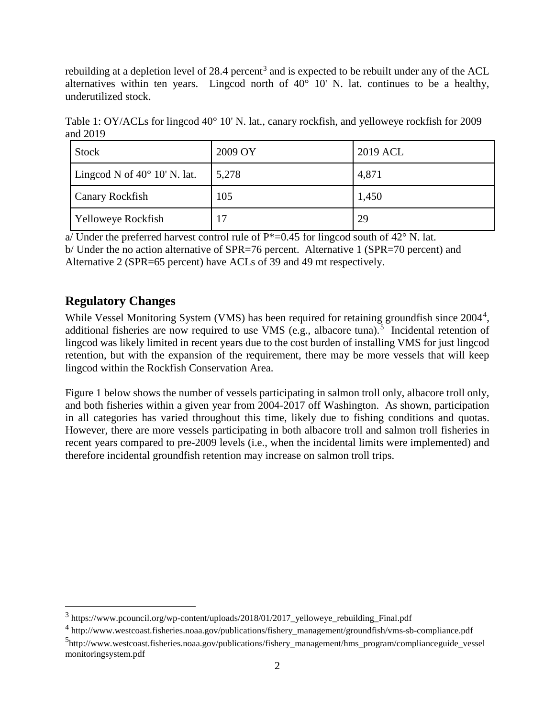rebuilding at a depletion level of  $28.4$  percent<sup>[3](#page-1-1)</sup> and is expected to be rebuilt under any of the ACL alternatives within ten years. Lingcod north of  $40^{\circ}$  10' N. lat. continues to be a healthy, underutilized stock.

<span id="page-1-0"></span>Table 1: OY/ACLs for lingcod 40° 10' N. lat., canary rockfish, and yelloweye rockfish for 2009 and 2019

| Stock                                 | 2009 OY | 2019 ACL |
|---------------------------------------|---------|----------|
| Lingcod N of $40^{\circ}$ 10' N. lat. | 5,278   | 4,871    |
| <b>Canary Rockfish</b>                | 105     | 1,450    |
| Yelloweye Rockfish                    | 17      | 29       |

a/ Under the preferred harvest control rule of  $P^*=0.45$  for lingcod south of  $42^{\circ}$  N. lat.

b/ Under the no action alternative of SPR=76 percent. Alternative 1 (SPR=70 percent) and Alternative 2 (SPR=65 percent) have ACLs of 39 and 49 mt respectively.

#### **Regulatory Changes**

While Vessel Monitoring System (VMS) has been required for retaining groundfish since 200[4](#page-1-2)<sup>4</sup>, additional fisheries are now required to use VMS (e.g., albacore tuna).<sup>[5](#page-1-3)</sup> Incidental retention of lingcod was likely limited in recent years due to the cost burden of installing VMS for just lingcod retention, but with the expansion of the requirement, there may be more vessels that will keep lingcod within the Rockfish Conservation Area.

[Figure 1](#page-2-0) below shows the number of vessels participating in salmon troll only, albacore troll only, and both fisheries within a given year from 2004-2017 off Washington. As shown, participation in all categories has varied throughout this time, likely due to fishing conditions and quotas. However, there are more vessels participating in both albacore troll and salmon troll fisheries in recent years compared to pre-2009 levels (i.e., when the incidental limits were implemented) and therefore incidental groundfish retention may increase on salmon troll trips.

<span id="page-1-1"></span><sup>&</sup>lt;sup>3</sup> https://www.pcouncil.org/wp-content/uploads/2018/01/2017\_yelloweye\_rebuilding\_Final.pdf

<span id="page-1-2"></span><sup>4</sup> http://www.westcoast.fisheries.noaa.gov/publications/fishery\_management/groundfish/vms-sb-compliance.pdf

<span id="page-1-3"></span><sup>5</sup> http://www.westcoast.fisheries.noaa.gov/publications/fishery\_management/hms\_program/complianceguide\_vessel monitoringsystem.pdf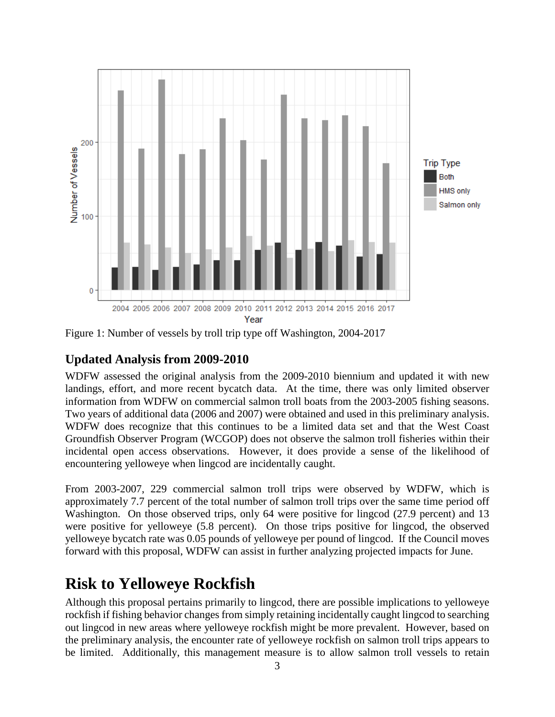

<span id="page-2-0"></span>Figure 1: Number of vessels by troll trip type off Washington, 2004-2017

#### **Updated Analysis from 2009-2010**

WDFW assessed the original analysis from the 2009-2010 biennium and updated it with new landings, effort, and more recent bycatch data. At the time, there was only limited observer information from WDFW on commercial salmon troll boats from the 2003-2005 fishing seasons. Two years of additional data (2006 and 2007) were obtained and used in this preliminary analysis. WDFW does recognize that this continues to be a limited data set and that the West Coast Groundfish Observer Program (WCGOP) does not observe the salmon troll fisheries within their incidental open access observations. However, it does provide a sense of the likelihood of encountering yelloweye when lingcod are incidentally caught.

From 2003-2007, 229 commercial salmon troll trips were observed by WDFW, which is approximately 7.7 percent of the total number of salmon troll trips over the same time period off Washington. On those observed trips, only 64 were positive for lingcod (27.9 percent) and 13 were positive for yelloweye (5.8 percent). On those trips positive for lingcod, the observed yelloweye bycatch rate was 0.05 pounds of yelloweye per pound of lingcod. If the Council moves forward with this proposal, WDFW can assist in further analyzing projected impacts for June.

## **Risk to Yelloweye Rockfish**

Although this proposal pertains primarily to lingcod, there are possible implications to yelloweye rockfish if fishing behavior changes from simply retaining incidentally caught lingcod to searching out lingcod in new areas where yelloweye rockfish might be more prevalent. However, based on the preliminary analysis, the encounter rate of yelloweye rockfish on salmon troll trips appears to be limited. Additionally, this management measure is to allow salmon troll vessels to retain